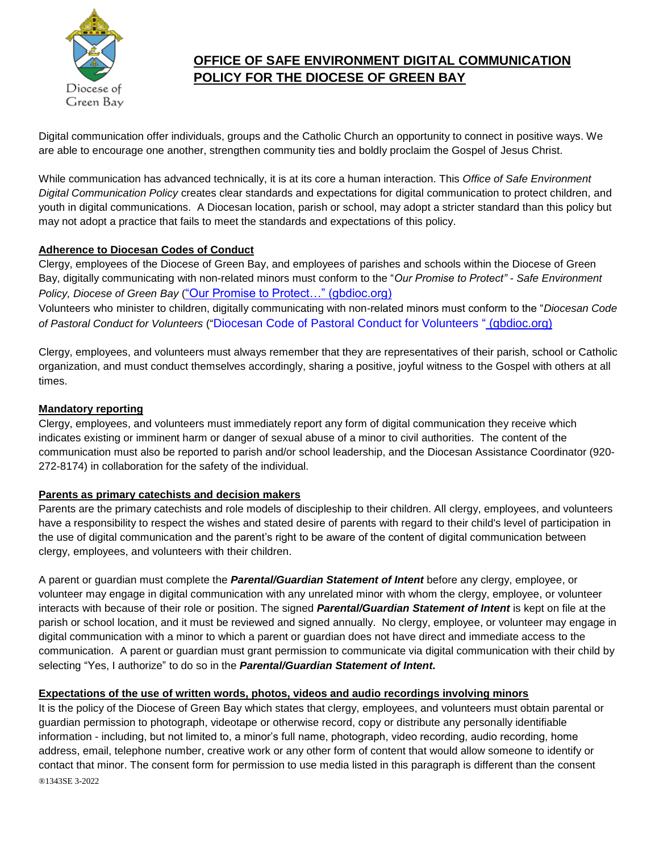

# **OFFICE OF SAFE ENVIRONMENT DIGITAL COMMUNICATION POLICY FOR THE DIOCESE OF GREEN BAY**

Digital communication offer individuals, groups and the Catholic Church an opportunity to connect in positive ways. We are able to encourage one another, strengthen community ties and boldly proclaim the Gospel of Jesus Christ.

While communication has advanced technically, it is at its core a human interaction. This *Office of Safe Environment Digital Communication Policy* creates clear standards and expectations for digital communication to protect children, and youth in digital communications. A Diocesan location, parish or school, may adopt a stricter standard than this policy but may not adopt a practice that fails to meet the standards and expectations of this policy.

# **Adherence to Diocesan Codes of Conduct**

Clergy, employees of the Diocese of Green Bay, and employees of parishes and schools within the Diocese of Green Bay, digitally communicating with non-related minors must conform to the "*Our Promise to Protect" - Safe Environment Policy, Diocese of Green Bay* (["Our Promise to Protect…" \(gbdioc.org\)](https://www.gbdioc.org/docman/safe-environment/510-our-promise-to-protect-2020/file)

Volunteers who minister to children, digitally communicating with non-related minors must conform to the "*Diocesan Code of Pastoral Conduct for Volunteers* ("Diocesan Code of Pastoral Conduct for Volunteers " [\(gbdioc.org\)](https://www.gbdioc.org/docman/safe-environment/122-maintaining-safe-environments-updated/file)

Clergy, employees, and volunteers must always remember that they are representatives of their parish, school or Catholic organization, and must conduct themselves accordingly, sharing a positive, joyful witness to the Gospel with others at all times.

# **Mandatory reporting**

Clergy, employees, and volunteers must immediately report any form of digital communication they receive which indicates existing or imminent harm or danger of sexual abuse of a minor to civil authorities. The content of the communication must also be reported to parish and/or school leadership, and the Diocesan Assistance Coordinator (920- 272-8174) in collaboration for the safety of the individual.

# **Parents as primary catechists and decision makers**

Parents are the primary catechists and role models of discipleship to their children. All clergy, employees, and volunteers have a responsibility to respect the wishes and stated desire of parents with regard to their child's level of participation in the use of digital communication and the parent's right to be aware of the content of digital communication between clergy, employees, and volunteers with their children.

A parent or guardian must complete the *Parental/Guardian Statement of Intent* before any clergy, employee, or volunteer may engage in digital communication with any unrelated minor with whom the clergy, employee, or volunteer interacts with because of their role or position. The signed *Parental/Guardian Statement of Intent* is kept on file at the parish or school location, and it must be reviewed and signed annually. No clergy, employee, or volunteer may engage in digital communication with a minor to which a parent or guardian does not have direct and immediate access to the communication. A parent or guardian must grant permission to communicate via digital communication with their child by selecting "Yes, I authorize" to do so in the *Parental/Guardian Statement of Intent.* 

# **Expectations of the use of written words, photos, videos and audio recordings involving minors**

®1343SE 3-2022 It is the policy of the Diocese of Green Bay which states that clergy, employees, and volunteers must obtain parental or guardian permission to photograph, videotape or otherwise record, copy or distribute any personally identifiable information - including, but not limited to, a minor's full name, photograph, video recording, audio recording, home address, email, telephone number, creative work or any other form of content that would allow someone to identify or contact that minor. The consent form for permission to use media listed in this paragraph is different than the consent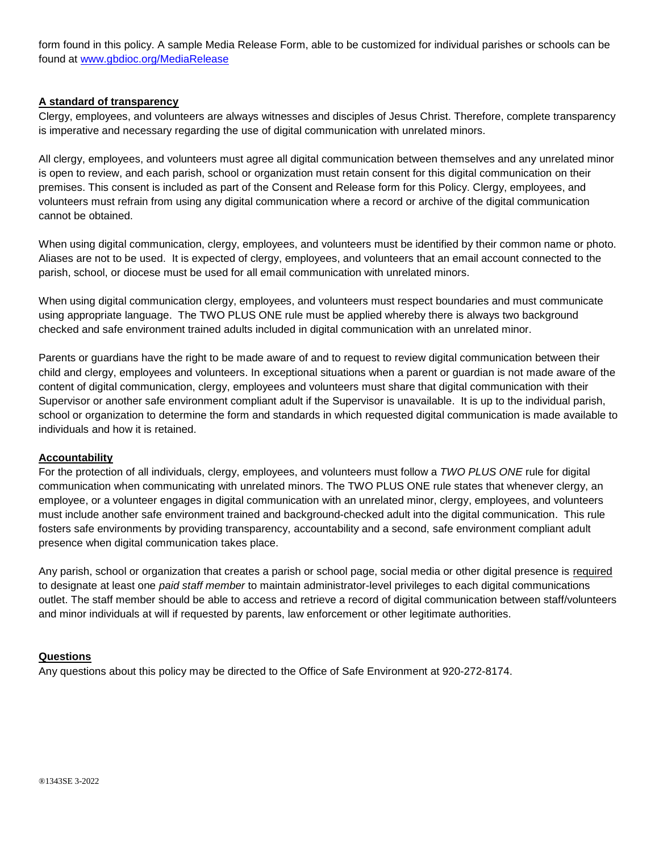form found in this policy. A sample Media Release Form, able to be customized for individual parishes or schools can be found at [www.gbdioc.org/MediaRelease](http://www.gbdioc.org/MediaRelease)

### **A standard of transparency**

Clergy, employees, and volunteers are always witnesses and disciples of Jesus Christ. Therefore, complete transparency is imperative and necessary regarding the use of digital communication with unrelated minors.

All clergy, employees, and volunteers must agree all digital communication between themselves and any unrelated minor is open to review, and each parish, school or organization must retain consent for this digital communication on their premises. This consent is included as part of the Consent and Release form for this Policy. Clergy, employees, and volunteers must refrain from using any digital communication where a record or archive of the digital communication cannot be obtained.

When using digital communication, clergy, employees, and volunteers must be identified by their common name or photo. Aliases are not to be used. It is expected of clergy, employees, and volunteers that an email account connected to the parish, school, or diocese must be used for all email communication with unrelated minors.

When using digital communication clergy, employees, and volunteers must respect boundaries and must communicate using appropriate language. The TWO PLUS ONE rule must be applied whereby there is always two background checked and safe environment trained adults included in digital communication with an unrelated minor.

Parents or guardians have the right to be made aware of and to request to review digital communication between their child and clergy, employees and volunteers. In exceptional situations when a parent or guardian is not made aware of the content of digital communication, clergy, employees and volunteers must share that digital communication with their Supervisor or another safe environment compliant adult if the Supervisor is unavailable. It is up to the individual parish, school or organization to determine the form and standards in which requested digital communication is made available to individuals and how it is retained.

#### **Accountability**

For the protection of all individuals, clergy, employees, and volunteers must follow a *TWO PLUS ONE* rule for digital communication when communicating with unrelated minors. The TWO PLUS ONE rule states that whenever clergy, an employee, or a volunteer engages in digital communication with an unrelated minor, clergy, employees, and volunteers must include another safe environment trained and background-checked adult into the digital communication. This rule fosters safe environments by providing transparency, accountability and a second, safe environment compliant adult presence when digital communication takes place.

Any parish, school or organization that creates a parish or school page, social media or other digital presence is required to designate at least one *paid staff member* to maintain administrator-level privileges to each digital communications outlet. The staff member should be able to access and retrieve a record of digital communication between staff/volunteers and minor individuals at will if requested by parents, law enforcement or other legitimate authorities.

#### **Questions**

Any questions about this policy may be directed to the Office of Safe Environment at 920-272-8174.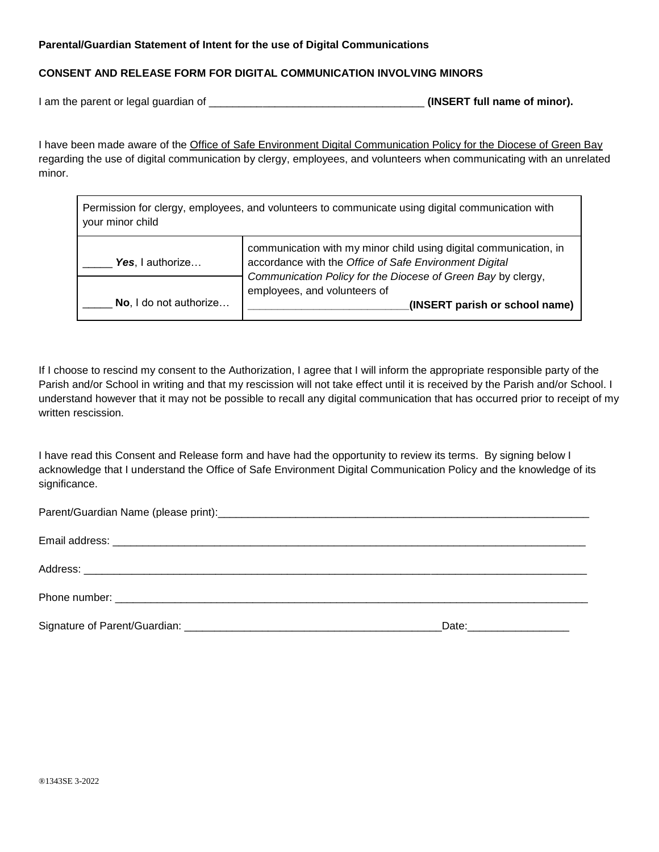#### **Parental/Guardian Statement of Intent for the use of Digital Communications**

## **CONSENT AND RELEASE FORM FOR DIGITAL COMMUNICATION INVOLVING MINORS**

I am the parent or legal guardian of **Example 20** is a set of the **(INSERT full name of minor).** 

 $\mathbf{r}$ 

I have been made aware of the Office of Safe Environment Digital Communication Policy for the Diocese of Green Bay regarding the use of digital communication by clergy, employees, and volunteers when communicating with an unrelated minor.

| Permission for clergy, employees, and volunteers to communicate using digital communication with<br>your minor child |                                                                                                                             |  |
|----------------------------------------------------------------------------------------------------------------------|-----------------------------------------------------------------------------------------------------------------------------|--|
| Yes, I authorize                                                                                                     | communication with my minor child using digital communication, in<br>accordance with the Office of Safe Environment Digital |  |
|                                                                                                                      | Communication Policy for the Diocese of Green Bay by clergy,<br>employees, and volunteers of                                |  |

If I choose to rescind my consent to the Authorization, I agree that I will inform the appropriate responsible party of the Parish and/or School in writing and that my rescission will not take effect until it is received by the Parish and/or School. I understand however that it may not be possible to recall any digital communication that has occurred prior to receipt of my written rescission.

\_\_\_\_\_ **No \_\_\_\_\_\_\_\_\_\_\_\_\_\_\_\_\_\_\_\_\_\_\_\_\_\_\_(INSERT parish or school name)** , I do not authorize…

I have read this Consent and Release form and have had the opportunity to review its terms. By signing below I acknowledge that I understand the Office of Safe Environment Digital Communication Policy and the knowledge of its significance.

| _Date:____________________ |
|----------------------------|